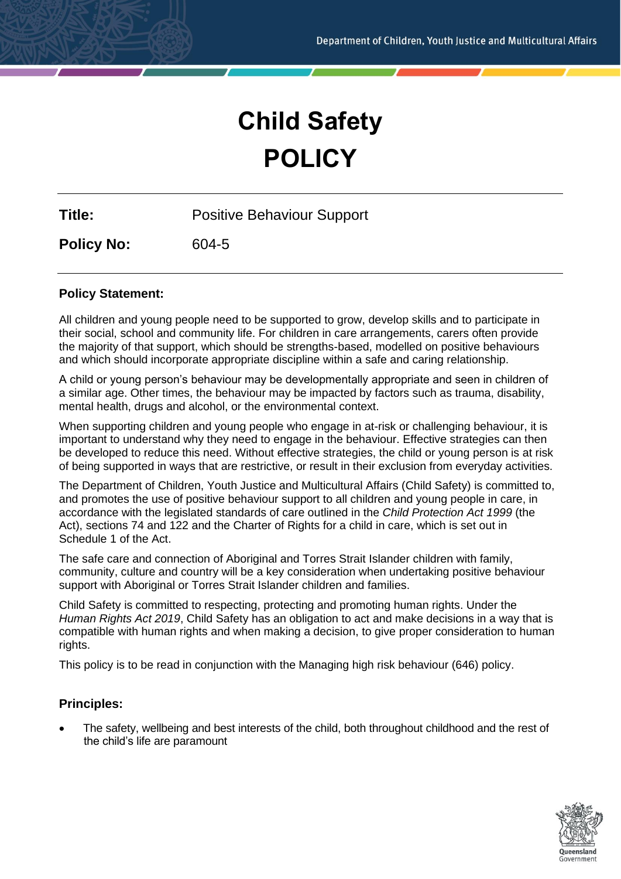# **Child Safety POLICY**

**Title:** Positive Behaviour Support

**Policy No:** 604-5

# **Policy Statement:**

All children and young people need to be supported to grow, develop skills and to participate in their social, school and community life. For children in care arrangements, carers often provide the majority of that support, which should be strengths-based, modelled on positive behaviours and which should incorporate appropriate discipline within a safe and caring relationship.

A child or young person's behaviour may be developmentally appropriate and seen in children of a similar age. Other times, the behaviour may be impacted by factors such as trauma, disability, mental health, drugs and alcohol, or the environmental context.

When supporting children and young people who engage in at-risk or challenging behaviour, it is important to understand why they need to engage in the behaviour. Effective strategies can then be developed to reduce this need. Without effective strategies, the child or young person is at risk of being supported in ways that are restrictive, or result in their exclusion from everyday activities.

The Department of Children, Youth Justice and Multicultural Affairs (Child Safety) is committed to, and promotes the use of positive behaviour support to all children and young people in care, in accordance with the legislated standards of care outlined in the *Child Protection Act 1999* (the Act), sections 74 and 122 and the Charter of Rights for a child in care, which is set out in Schedule 1 of the Act.

The safe care and connection of Aboriginal and Torres Strait Islander children with family, community, culture and country will be a key consideration when undertaking positive behaviour support with Aboriginal or Torres Strait Islander children and families.

Child Safety is committed to respecting, protecting and promoting human rights. Under the *Human Rights Act 2019*, Child Safety has an obligation to act and make decisions in a way that is compatible with human rights and when making a decision, to give proper consideration to human rights.

This policy is to be read in conjunction with the Managing high risk behaviour (646) policy.

# **Principles:**

• The safety, wellbeing and best interests of the child, both throughout childhood and the rest of the child's life are paramount

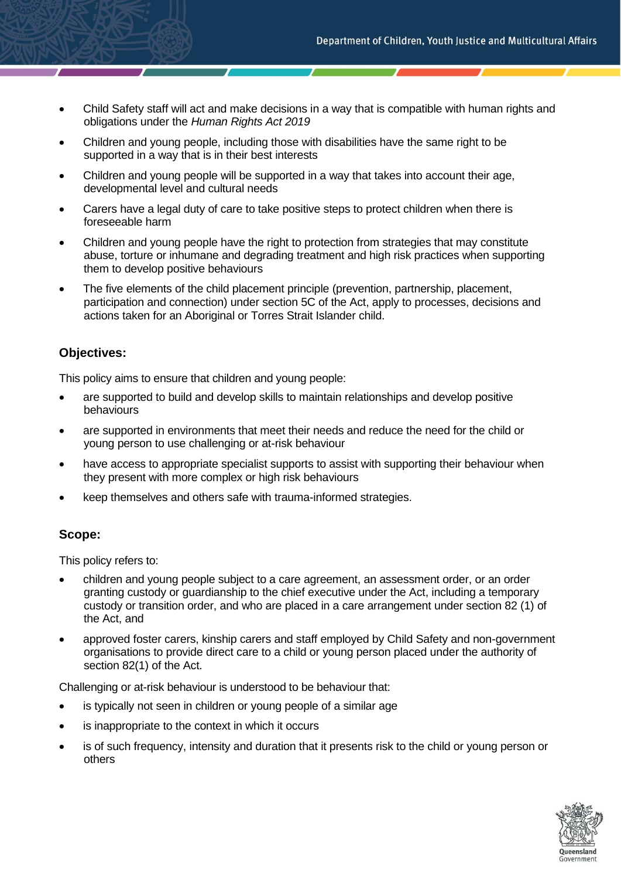- Child Safety staff will act and make decisions in a way that is compatible with human rights and obligations under the *Human Rights Act 2019*
- Children and young people, including those with disabilities have the same right to be supported in a way that is in their best interests
- Children and young people will be supported in a way that takes into account their age, developmental level and cultural needs
- Carers have a legal duty of care to take positive steps to protect children when there is foreseeable harm
- Children and young people have the right to protection from strategies that may constitute abuse, torture or inhumane and degrading treatment and high risk practices when supporting them to develop positive behaviours
- The five elements of the child placement principle (prevention, partnership, placement, participation and connection) under section 5C of the Act, apply to processes, decisions and actions taken for an Aboriginal or Torres Strait Islander child.

# **Objectives:**

This policy aims to ensure that children and young people:

- are supported to build and develop skills to maintain relationships and develop positive behaviours
- are supported in environments that meet their needs and reduce the need for the child or young person to use challenging or at-risk behaviour
- have access to appropriate specialist supports to assist with supporting their behaviour when they present with more complex or high risk behaviours
- keep themselves and others safe with trauma-informed strategies.

# **Scope:**

This policy refers to:

- children and young people subject to a care agreement, an assessment order, or an order granting custody or guardianship to the chief executive under the Act, including a temporary custody or transition order, and who are placed in a care arrangement under section 82 (1) of the Act, and
- approved foster carers, kinship carers and staff employed by Child Safety and non-government organisations to provide direct care to a child or young person placed under the authority of section 82(1) of the Act.

Challenging or at-risk behaviour is understood to be behaviour that:

- is typically not seen in children or young people of a similar age
- is inappropriate to the context in which it occurs
- is of such frequency, intensity and duration that it presents risk to the child or young person or others

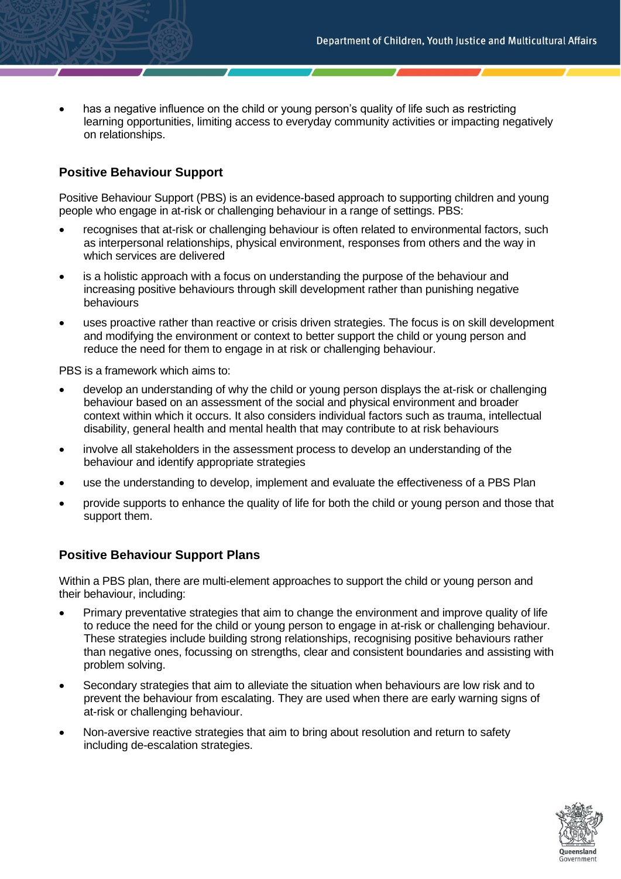• has a negative influence on the child or young person's quality of life such as restricting learning opportunities, limiting access to everyday community activities or impacting negatively on relationships.

# **Positive Behaviour Support**

Positive Behaviour Support (PBS) is an evidence-based approach to supporting children and young people who engage in at-risk or challenging behaviour in a range of settings. PBS:

- recognises that at-risk or challenging behaviour is often related to environmental factors, such as interpersonal relationships, physical environment, responses from others and the way in which services are delivered
- is a holistic approach with a focus on understanding the purpose of the behaviour and increasing positive behaviours through skill development rather than punishing negative behaviours
- uses proactive rather than reactive or crisis driven strategies. The focus is on skill development and modifying the environment or context to better support the child or young person and reduce the need for them to engage in at risk or challenging behaviour.

PBS is a framework which aims to:

- develop an understanding of why the child or young person displays the at-risk or challenging behaviour based on an assessment of the social and physical environment and broader context within which it occurs. It also considers individual factors such as trauma, intellectual disability, general health and mental health that may contribute to at risk behaviours
- involve all stakeholders in the assessment process to develop an understanding of the behaviour and identify appropriate strategies
- use the understanding to develop, implement and evaluate the effectiveness of a PBS Plan
- provide supports to enhance the quality of life for both the child or young person and those that support them.

#### **Positive Behaviour Support Plans**

Within a PBS plan, there are multi-element approaches to support the child or young person and their behaviour, including:

- Primary preventative strategies that aim to change the environment and improve quality of life to reduce the need for the child or young person to engage in at-risk or challenging behaviour. These strategies include building strong relationships, recognising positive behaviours rather than negative ones, focussing on strengths, clear and consistent boundaries and assisting with problem solving.
- Secondary strategies that aim to alleviate the situation when behaviours are low risk and to prevent the behaviour from escalating. They are used when there are early warning signs of at-risk or challenging behaviour.
- Non-aversive reactive strategies that aim to bring about resolution and return to safety including de-escalation strategies.

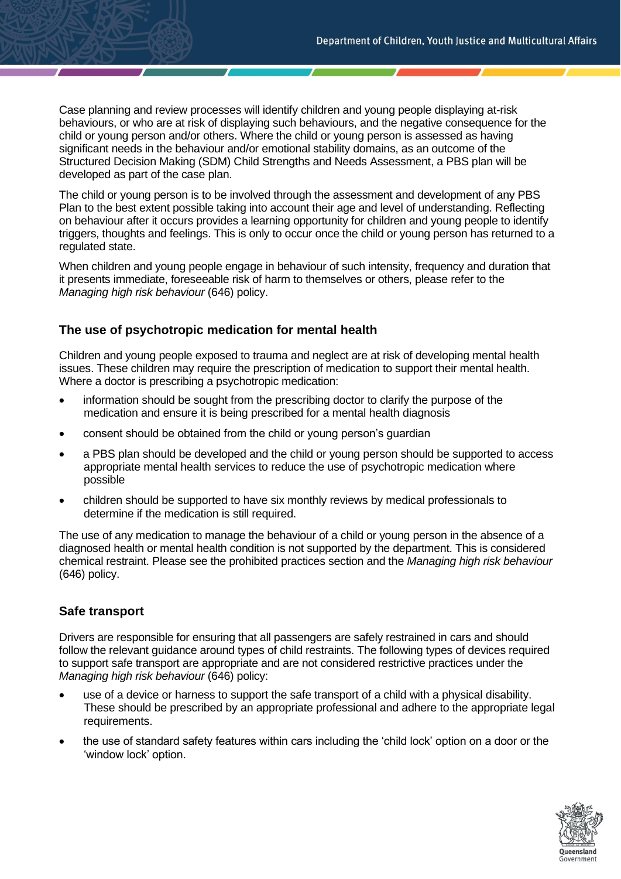Case planning and review processes will identify children and young people displaying at-risk behaviours, or who are at risk of displaying such behaviours, and the negative consequence for the child or young person and/or others. Where the child or young person is assessed as having significant needs in the behaviour and/or emotional stability domains, as an outcome of the Structured Decision Making (SDM) Child Strengths and Needs Assessment, a PBS plan will be developed as part of the case plan.

The child or young person is to be involved through the assessment and development of any PBS Plan to the best extent possible taking into account their age and level of understanding. Reflecting on behaviour after it occurs provides a learning opportunity for children and young people to identify triggers, thoughts and feelings. This is only to occur once the child or young person has returned to a regulated state.

When children and young people engage in behaviour of such intensity, frequency and duration that it presents immediate, foreseeable risk of harm to themselves or others, please refer to the *Managing high risk behaviour* (646) policy.

# **The use of psychotropic medication for mental health**

Children and young people exposed to trauma and neglect are at risk of developing mental health issues. These children may require the prescription of medication to support their mental health. Where a doctor is prescribing a psychotropic medication:

- information should be sought from the prescribing doctor to clarify the purpose of the medication and ensure it is being prescribed for a mental health diagnosis
- consent should be obtained from the child or young person's guardian
- a PBS plan should be developed and the child or young person should be supported to access appropriate mental health services to reduce the use of psychotropic medication where possible
- children should be supported to have six monthly reviews by medical professionals to determine if the medication is still required.

The use of any medication to manage the behaviour of a child or young person in the absence of a diagnosed health or mental health condition is not supported by the department. This is considered chemical restraint. Please see the prohibited practices section and the *Managing high risk behaviour* (646) policy.

# **Safe transport**

Drivers are responsible for ensuring that all passengers are safely restrained in cars and should follow the relevant guidance around types of child restraints. The following types of devices required to support safe transport are appropriate and are not considered restrictive practices under the *Managing high risk behaviour* (646) policy:

- use of a device or harness to support the safe transport of a child with a physical disability. These should be prescribed by an appropriate professional and adhere to the appropriate legal requirements.
- the use of standard safety features within cars including the 'child lock' option on a door or the 'window lock' option.

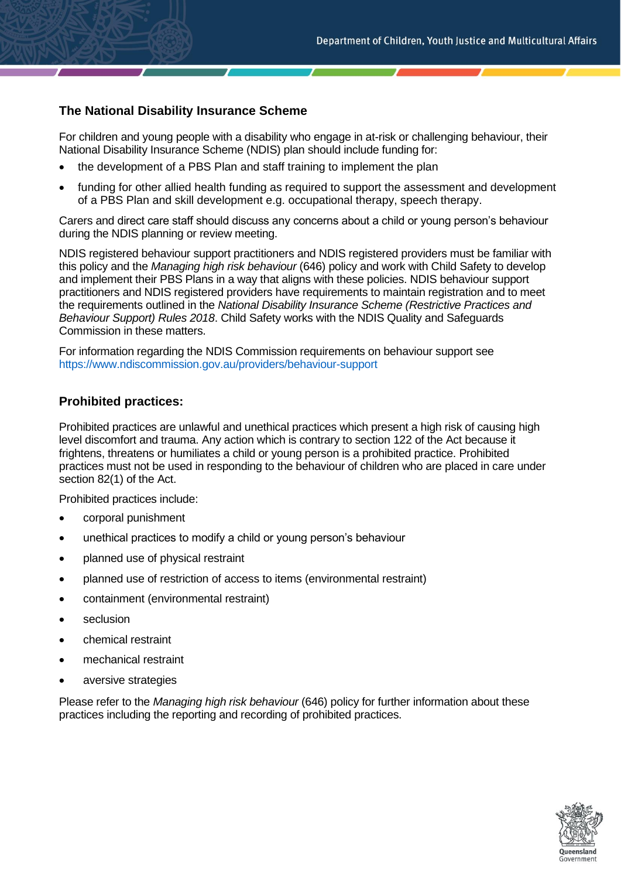# **The National Disability Insurance Scheme**

For children and young people with a disability who engage in at-risk or challenging behaviour, their National Disability Insurance Scheme (NDIS) plan should include funding for:

- the development of a PBS Plan and staff training to implement the plan
- funding for other allied health funding as required to support the assessment and development of a PBS Plan and skill development e.g. occupational therapy, speech therapy.

Carers and direct care staff should discuss any concerns about a child or young person's behaviour during the NDIS planning or review meeting.

NDIS registered behaviour support practitioners and NDIS registered providers must be familiar with this policy and the *Managing high risk behaviour* (646) policy and work with Child Safety to develop and implement their PBS Plans in a way that aligns with these policies. NDIS behaviour support practitioners and NDIS registered providers have requirements to maintain registration and to meet the requirements outlined in the *National Disability Insurance Scheme (Restrictive Practices and Behaviour Support) Rules 2018*. Child Safety works with the NDIS Quality and Safeguards Commission in these matters.

For information regarding the NDIS Commission requirements on behaviour support see <https://www.ndiscommission.gov.au/providers/behaviour-support>

#### **Prohibited practices:**

Prohibited practices are unlawful and unethical practices which present a high risk of causing high level discomfort and trauma. Any action which is contrary to section 122 of the Act because it frightens, threatens or humiliates a child or young person is a prohibited practice. Prohibited practices must not be used in responding to the behaviour of children who are placed in care under section 82(1) of the Act.

Prohibited practices include:

- corporal punishment
- unethical practices to modify a child or young person's behaviour
- planned use of physical restraint
- planned use of restriction of access to items (environmental restraint)
- containment (environmental restraint)
- seclusion
- chemical restraint
- mechanical restraint
- aversive strategies

Please refer to the *Managing high risk behaviour* (646) policy for further information about these practices including the reporting and recording of prohibited practices.

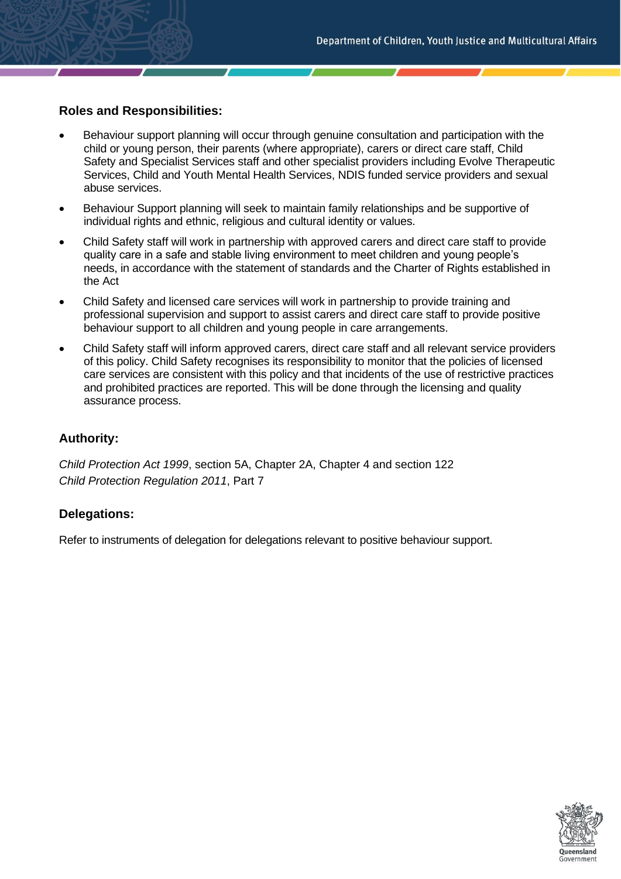## **Roles and Responsibilities:**

- Behaviour support planning will occur through genuine consultation and participation with the child or young person, their parents (where appropriate), carers or direct care staff, Child Safety and Specialist Services staff and other specialist providers including Evolve Therapeutic Services, Child and Youth Mental Health Services, NDIS funded service providers and sexual abuse services.
- Behaviour Support planning will seek to maintain family relationships and be supportive of individual rights and ethnic, religious and cultural identity or values.
- Child Safety staff will work in partnership with approved carers and direct care staff to provide quality care in a safe and stable living environment to meet children and young people's needs, in accordance with the statement of standards and the Charter of Rights established in the Act
- Child Safety and licensed care services will work in partnership to provide training and professional supervision and support to assist carers and direct care staff to provide positive behaviour support to all children and young people in care arrangements.
- Child Safety staff will inform approved carers, direct care staff and all relevant service providers of this policy. Child Safety recognises its responsibility to monitor that the policies of licensed care services are consistent with this policy and that incidents of the use of restrictive practices and prohibited practices are reported. This will be done through the licensing and quality assurance process.

## **Authority:**

*Child Protection Act 1999*, section 5A, Chapter 2A, Chapter 4 and section 122 *Child Protection Regulation 2011*, Part 7

#### **Delegations:**

Refer to instruments of delegation for delegations relevant to positive behaviour support.

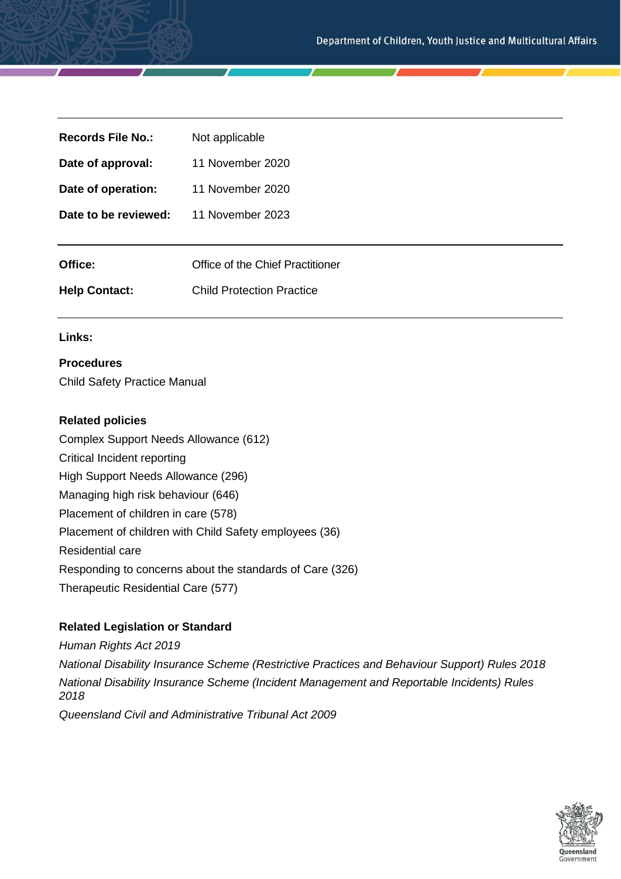| <b>Records File No.:</b> | Not applicable                   |
|--------------------------|----------------------------------|
| Date of approval:        | 11 November 2020                 |
| Date of operation:       | 11 November 2020                 |
| Date to be reviewed:     | 11 November 2023                 |
|                          |                                  |
| Office:                  | Office of the Chief Practitioner |
| <b>Help Contact:</b>     | <b>Child Protection Practice</b> |
|                          |                                  |

#### **Links:**

## **Procedures**

Child Safety Practice Manual

#### **Related policies**

Complex Support Needs Allowance (612) Critical Incident reporting High Support Needs Allowance (296) Managing high risk behaviour (646) Placement of children in care (578) Placement of children with Child Safety employees (36) Residential care Responding to concerns about the standards of Care (326) Therapeutic Residential Care (577)

#### **Related Legislation or Standard**

*Human Rights Act 2019 National Disability Insurance Scheme (Restrictive Practices and Behaviour Support) Rules 2018 National Disability Insurance Scheme (Incident Management and Reportable Incidents) Rules 2018 Queensland Civil and Administrative Tribunal Act 2009*